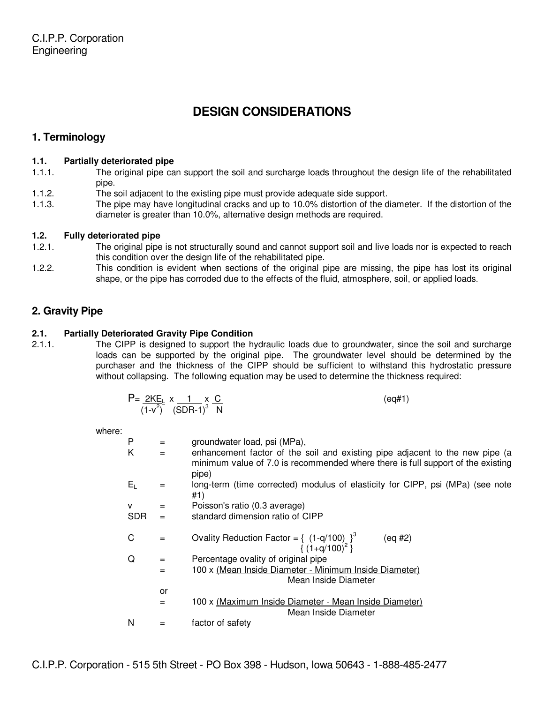# **DESIGN CONSIDERATIONS**

# **1. Terminology**

## **1.1. Partially deteriorated pipe**

- 1.1.1. The original pipe can support the soil and surcharge loads throughout the design life of the rehabilitated pipe.
- 1.1.2. The soil adjacent to the existing pipe must provide adequate side support.
- 1.1.3. The pipe may have longitudinal cracks and up to 10.0% distortion of the diameter. If the distortion of the diameter is greater than 10.0%, alternative design methods are required.

## **1.2. Fully deteriorated pipe**

- 1.2.1. The original pipe is not structurally sound and cannot support soil and live loads nor is expected to reach this condition over the design life of the rehabilitated pipe.
- 1.2.2. This condition is evident when sections of the original pipe are missing, the pipe has lost its original shape, or the pipe has corroded due to the effects of the fluid, atmosphere, soil, or applied loads.

# **2. Gravity Pipe**

## **2.1. Partially Deteriorated Gravity Pipe Condition**

2.1.1. The CIPP is designed to support the hydraulic loads due to groundwater, since the soil and surcharge loads can be supported by the original pipe. The groundwater level should be determined by the purchaser and the thickness of the CIPP should be sufficient to withstand this hydrostatic pressure without collapsing. The following equation may be used to determine the thickness required:

| P= <u>2ΚΕι</u> x _ 1 _ x <u>C</u> | (eq#1) |
|-----------------------------------|--------|
| $(1-v^2)$ $(SDR-1)^3$ N           |        |

where:

| ,,,,,,,,, |            |     |                                                                                                                                                                          |
|-----------|------------|-----|--------------------------------------------------------------------------------------------------------------------------------------------------------------------------|
|           | P          | $=$ | groundwater load, psi (MPa),                                                                                                                                             |
|           | Κ          | $=$ | enhancement factor of the soil and existing pipe adjacent to the new pipe (a<br>minimum value of 7.0 is recommended where there is full support of the existing<br>pipe) |
|           | $E_L$      | =   | long-term (time corrected) modulus of elasticity for CIPP, psi (MPa) (see note<br>#1)                                                                                    |
|           | v          | =   | Poisson's ratio (0.3 average)                                                                                                                                            |
|           | <b>SDR</b> | $=$ | standard dimension ratio of CIPP                                                                                                                                         |
|           |            |     |                                                                                                                                                                          |
|           | C          | $=$ | Ovality Reduction Factor = $\{ (1-q/100)^{\}$<br>(eq #2)<br>$\{(1+q/100)^2\}$                                                                                            |
|           | Q          | $=$ | Percentage ovality of original pipe                                                                                                                                      |
|           |            | $=$ | 100 x (Mean Inside Diameter - Minimum Inside Diameter)                                                                                                                   |
|           |            |     | Mean Inside Diameter                                                                                                                                                     |
|           |            | or  |                                                                                                                                                                          |
|           |            | $=$ | 100 x (Maximum Inside Diameter - Mean Inside Diameter)<br>Mean Inside Diameter                                                                                           |
|           | N          |     | factor of safety                                                                                                                                                         |
|           |            |     |                                                                                                                                                                          |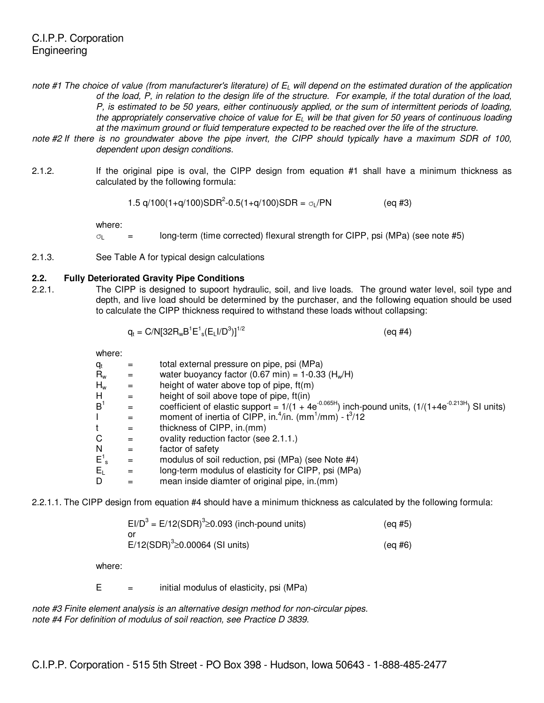- note #1 The choice of value (from manufacturer's literature) of  $E_L$  will depend on the estimated duration of the application of the load, P, in relation to the design life of the structure. For example, if the total duration of the load, P, is estimated to be 50 years, either continuously applied, or the sum of intermittent periods of loading, the appropriately conservative choice of value for  $E_L$  will be that given for 50 years of continuous loading at the maximum ground or fluid temperature expected to be reached over the life of the structure.
- note #2 If there is no groundwater above the pipe invert, the CIPP should typically have a maximum SDR of 100, dependent upon design conditions.
- 2.1.2. If the original pipe is oval, the CIPP design from equation #1 shall have a minimum thickness as calculated by the following formula:

$$
1.5 q/100(1+q/100)SDR2-0.5(1+q/100)SDR = \sigma_L/PN
$$
 (eq #3)

where:

 $\sigma$  = long-term (time corrected) flexural strength for CIPP, psi (MPa) (see note #5)

2.1.3. See Table A for typical design calculations

#### **2.2. Fully Deteriorated Gravity Pipe Conditions**

2.2.1. The CIPP is designed to supoort hydraulic, soil, and live loads. The ground water level, soil type and depth, and live load should be determined by the purchaser, and the following equation should be used to calculate the CIPP thickness required to withstand these loads without collapsing:

$$
q_t = C/N[32R_wB^1E^1{}_s(E_LI/D^3)]^{1/2}
$$
 (eq #4)

where:

| $q_t$              | =   | total external pressure on pipe, psi (MPa)                                                                |
|--------------------|-----|-----------------------------------------------------------------------------------------------------------|
| $R_{w}$            | =   | water buoyancy factor (0.67 min) = $1-0.33$ (H <sub>w</sub> /H)                                           |
| $H_w$              | $=$ | height of water above top of pipe, $ft(m)$                                                                |
| Н                  | $=$ | height of soil above tope of pipe, ft(in)                                                                 |
| B <sup>1</sup>     | =   | coefficient of elastic support = $1/(1 + 4e^{-0.065H})$ inch-pound units, $(1/(1+4e^{-0.213H})$ SI units) |
|                    | $=$ | moment of inertia of CIPP, in. <sup>4</sup> /in. (mm <sup>1</sup> /mm) - $t^3/12$                         |
|                    | $=$ | thickness of CIPP, in.(mm)                                                                                |
| С                  | $=$ | ovality reduction factor (see 2.1.1.)                                                                     |
| N                  | $=$ | factor of safety                                                                                          |
| $E^1$ <sub>s</sub> | =   | modulus of soil reduction, psi (MPa) (see Note #4)                                                        |
| $E_L$              | =   | long-term modulus of elasticity for CIPP, psi (MPa)                                                       |
| D                  |     | mean inside diamter of original pipe, in.(mm)                                                             |

2.2.1.1. The CIPP design from equation #4 should have a minimum thickness as calculated by the following formula:

| EI/D <sup>3</sup> = E/12(SDR) <sup>3</sup> $\geq$ 0.093 (inch-pound units) | (ea #5) |
|----------------------------------------------------------------------------|---------|
|                                                                            |         |
| E/12(SDR) $3 \ge 0.00064$ (SI units)                                       | (ea #6) |

where:

 $E =$  initial modulus of elasticity, psi (MPa)

note #3 Finite element analysis is an alternative design method for non-circular pipes. note #4 For definition of modulus of soil reaction, see Practice D 3839.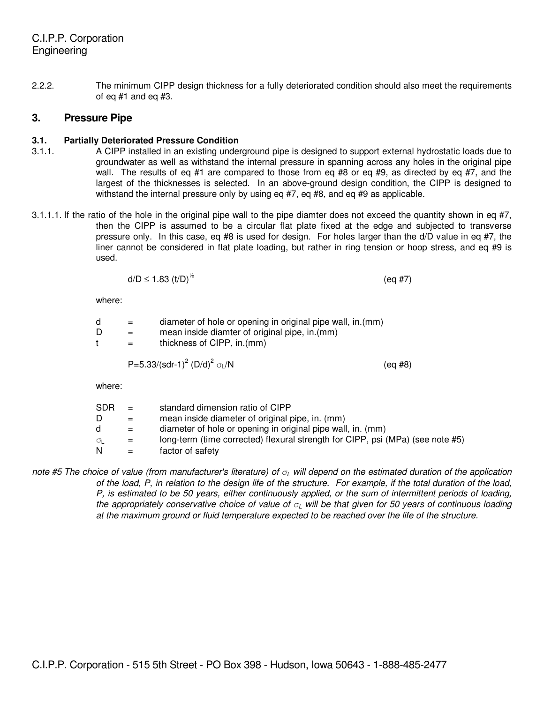2.2.2. The minimum CIPP design thickness for a fully deteriorated condition should also meet the requirements of eq #1 and eq #3.

## **3. Pressure Pipe**

## **3.1. Partially Deteriorated Pressure Condition**

- 3.1.1. A CIPP installed in an existing underground pipe is designed to support external hydrostatic loads due to groundwater as well as withstand the internal pressure in spanning across any holes in the original pipe wall. The results of eq #1 are compared to those from eq #8 or eq #9, as directed by eq #7, and the largest of the thicknesses is selected. In an above-ground design condition, the CIPP is designed to withstand the internal pressure only by using eq #7, eq #8, and eq #9 as applicable.
- 3.1.1.1. If the ratio of the hole in the original pipe wall to the pipe diamter does not exceed the quantity shown in eq  $#7$ , then the CIPP is assumed to be a circular flat plate fixed at the edge and subjected to transverse pressure only. In this case, eq #8 is used for design. For holes larger than the d/D value in eq #7, the liner cannot be considered in flat plate loading, but rather in ring tension or hoop stress, and eq #9 is used.

$$
d/D \le 1.83 \ (t/D)^{1/2} \tag{eq 47}
$$

where:

| $=$ | diameter of hole or opening in original pipe wall, in.(mm) |
|-----|------------------------------------------------------------|
| $=$ | mean inside diamter of original pipe, in (mm)              |
| $=$ | thickness of CIPP, in (mm)                                 |
|     |                                                            |

$$
P=5.33/(sdr-1)^2 (D/d)^2
$$
  $\sigma_L/N$ 

where:

| SDR.<br>σι | $=$<br>$=$<br>$=$<br>$=$ | standard dimension ratio of CIPP<br>mean inside diameter of original pipe, in. (mm)<br>diameter of hole or opening in original pipe wall, in. (mm)<br>long-term (time corrected) flexural strength for CIPP, psi (MPa) (see note #5) |
|------------|--------------------------|--------------------------------------------------------------------------------------------------------------------------------------------------------------------------------------------------------------------------------------|
| N          | $=$                      | factor of safety                                                                                                                                                                                                                     |
|            |                          |                                                                                                                                                                                                                                      |

 $(eq #8)$ 

note #5 The choice of value (from manufacturer's literature) of  $\sigma$ <sub>L</sub> will depend on the estimated duration of the application of the load, P, in relation to the design life of the structure. For example, if the total duration of the load, P, is estimated to be 50 years, either continuously applied, or the sum of intermittent periods of loading, the appropriately conservative choice of value of  $\sigma$ <sub>L</sub> will be that given for 50 years of continuous loading at the maximum ground or fluid temperature expected to be reached over the life of the structure.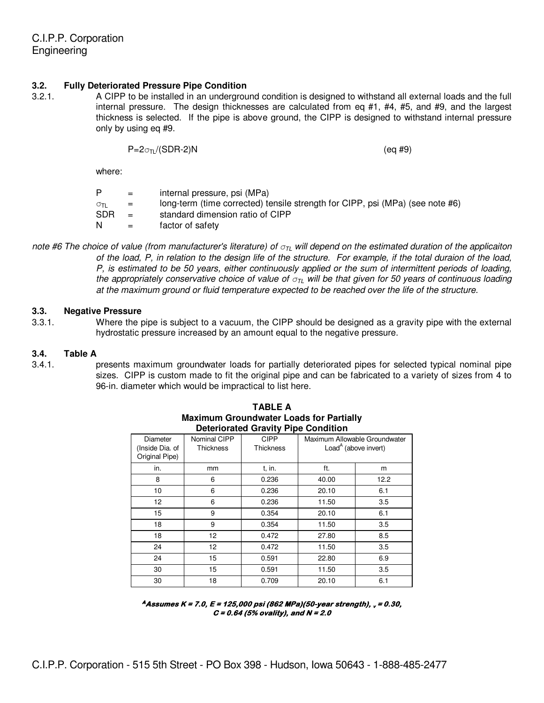#### **3.2. Fully Deteriorated Pressure Pipe Condition**

3.2.1. A CIPP to be installed in an underground condition is designed to withstand all external loads and the full internal pressure. The design thicknesses are calculated from eq #1, #4, #5, and #9, and the largest thickness is selected. If the pipe is above ground, the CIPP is designed to withstand internal pressure only by using eq #9.

 $P=2\sigma_{\text{II}}/(SDR-2)N$  (eq #9)

where:

|            | $=$ | internal pressure, psi (MPa)                                                  |
|------------|-----|-------------------------------------------------------------------------------|
| στι        | $=$ | long-term (time corrected) tensile strength for CIPP, psi (MPa) (see note #6) |
| <b>SDR</b> | $=$ | standard dimension ratio of CIPP                                              |
| N          | $=$ | factor of safety                                                              |

note #6 The choice of value (from manufacturer's literature) of  $\sigma_{\rm IL}$  will depend on the estimated duration of the applicaiton of the load, P, in relation to the design life of the structure. For example, if the total duraion of the load, P, is estimated to be 50 years, either continuously applied or the sum of intermittent periods of loading, the appropriately conservative choice of value of  $\sigma_{\text{TL}}$  will be that given for 50 years of continuous loading at the maximum ground or fluid temperature expected to be reached over the life of the structure.

#### **3.3. Negative Pressure**

3.3.1. Where the pipe is subject to a vacuum, the CIPP should be designed as a gravity pipe with the external hydrostatic pressure increased by an amount equal to the negative pressure.

#### **3.4. Table A**

3.4.1. presents maximum groundwater loads for partially deteriorated pipes for selected typical nominal pipe sizes. CIPP is custom made to fit the original pipe and can be fabricated to a variety of sizes from 4 to 96-in. diameter which would be impractical to list here.

| Deteriorated Gravity Fipe Condition           |                                  |                          |                                                                   |      |  |
|-----------------------------------------------|----------------------------------|--------------------------|-------------------------------------------------------------------|------|--|
| Diameter<br>(Inside Dia. of<br>Original Pipe) | Nominal CIPP<br><b>Thickness</b> | <b>CIPP</b><br>Thickness | Maximum Allowable Groundwater<br>Load <sup>A</sup> (above invert) |      |  |
| in.                                           | mm                               | t. in.                   | ft.                                                               | m    |  |
| 8                                             | 6                                | 0.236                    | 40.00                                                             | 12.2 |  |
| 10                                            | 6                                | 0.236                    | 20.10                                                             | 6.1  |  |
| 12 <sup>°</sup>                               | 6                                | 0.236                    | 11.50                                                             | 3.5  |  |
| 15                                            | 9                                | 0.354                    | 20.10                                                             | 6.1  |  |
| 18                                            | 9                                | 0.354                    | 11.50                                                             | 3.5  |  |
| 18                                            | 12                               | 0.472                    | 27.80                                                             | 8.5  |  |
| 24                                            | 12                               | 0.472                    | 11.50                                                             | 3.5  |  |
| 24                                            | 15                               | 0.591                    | 22.80                                                             | 6.9  |  |
| 30                                            | 15                               | 0.591                    | 11.50                                                             | 3.5  |  |
| 30                                            | 18                               | 0.709                    | 20.10                                                             | 6.1  |  |

**TABLE A Maximum Groundwater Loads for Partially Deteriorated Gravity Pipe Condition**

**<sup>A</sup> Assumes K = 7.0, E = 125,000 psi (862 MPa)(50 7.0, E psi MPa)(50-year strength), year strength), <sup>v</sup> = 0.30, = 0.30, C = 0.64 (5% ovality), and N = 2.0**